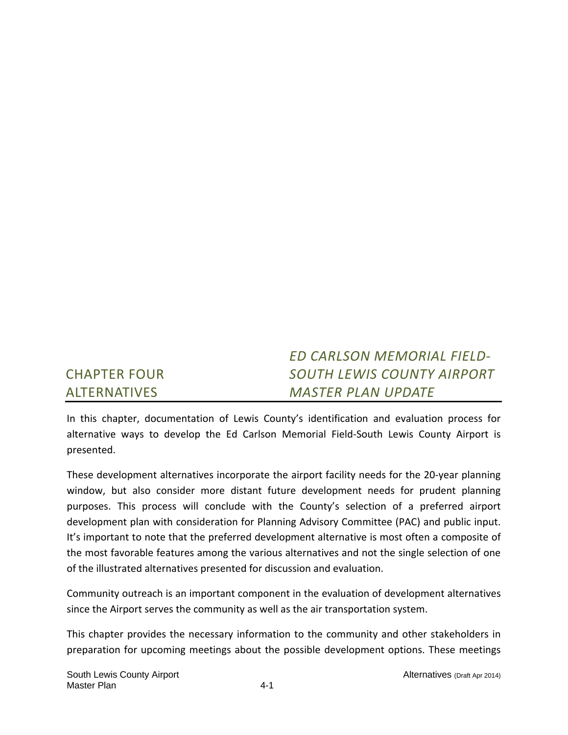#### CHAPTER FOUR ALTERNATIVES *ED CARLSON MEMORIAL FIELD‐ SOUTH LEWIS COUNTY AIRPORT MASTER PLAN UPDATE*

In this chapter, documentation of Lewis County's identification and evaluation process for alternative ways to develop the Ed Carlson Memorial Field‐South Lewis County Airport is presented.

These development alternatives incorporate the airport facility needs for the 20‐year planning window, but also consider more distant future development needs for prudent planning purposes. This process will conclude with the County's selection of a preferred airport development plan with consideration for Planning Advisory Committee (PAC) and public input. It's important to note that the preferred development alternative is most often a composite of the most favorable features among the various alternatives and not the single selection of one of the illustrated alternatives presented for discussion and evaluation.

Community outreach is an important component in the evaluation of development alternatives since the Airport serves the community as well as the air transportation system.

This chapter provides the necessary information to the community and other stakeholders in preparation for upcoming meetings about the possible development options. These meetings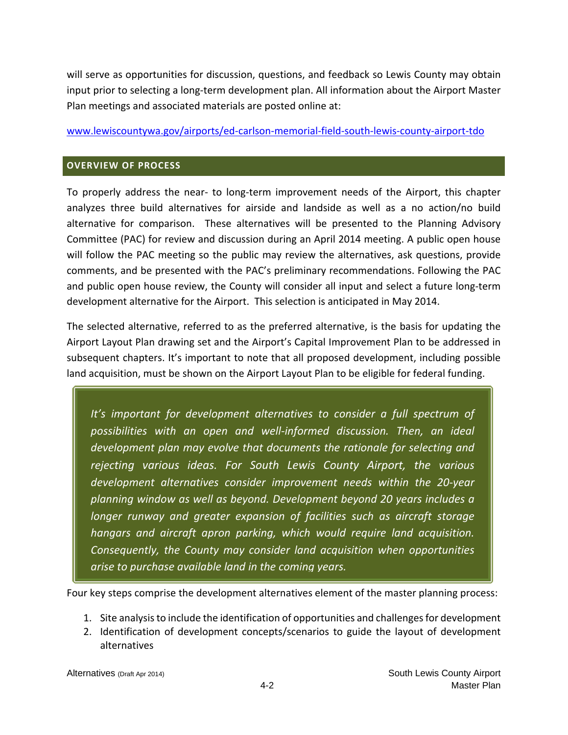will serve as opportunities for discussion, questions, and feedback so Lewis County may obtain input prior to selecting a long‐term development plan. All information about the Airport Master Plan meetings and associated materials are posted online at:

#### www.lewiscountywa.gov/airports/ed‐carlson‐memorial‐field‐south‐lewis‐county‐airport‐tdo

### **OVERVIEW OF PROCESS**

To properly address the near‐ to long‐term improvement needs of the Airport, this chapter analyzes three build alternatives for airside and landside as well as a no action/no build alternative for comparison. These alternatives will be presented to the Planning Advisory Committee (PAC) for review and discussion during an April 2014 meeting. A public open house will follow the PAC meeting so the public may review the alternatives, ask questions, provide comments, and be presented with the PAC's preliminary recommendations. Following the PAC and public open house review, the County will consider all input and select a future long-term development alternative for the Airport. This selection is anticipated in May 2014.

The selected alternative, referred to as the preferred alternative, is the basis for updating the Airport Layout Plan drawing set and the Airport's Capital Improvement Plan to be addressed in subsequent chapters. It's important to note that all proposed development, including possible land acquisition, must be shown on the Airport Layout Plan to be eligible for federal funding.

*It's important for development alternatives to consider a full spectrum of possibilities with an open and well‐informed discussion. Then, an ideal development plan may evolve that documents the rationale for selecting and rejecting various ideas. For South Lewis County Airport, the various development alternatives consider improvement needs within the 20‐year planning window as well as beyond. Development beyond 20 years includes a longer runway and greater expansion of facilities such as aircraft storage hangars and aircraft apron parking, which would require land acquisition. Consequently, the County may consider land acquisition when opportunities arise to purchase available land in the coming years.* 

Four key steps comprise the development alternatives element of the master planning process:

- 1. Site analysisto include the identification of opportunities and challengesfor development
- 2. Identification of development concepts/scenarios to guide the layout of development alternatives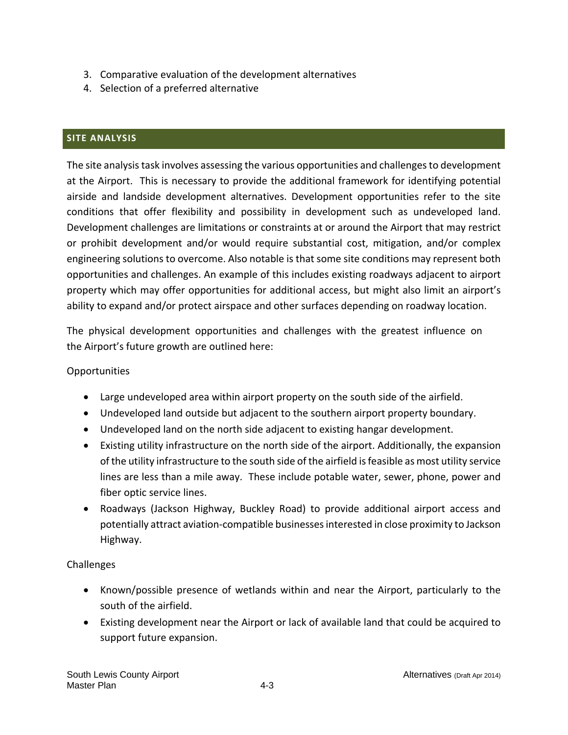- 3. Comparative evaluation of the development alternatives
- 4. Selection of a preferred alternative

# **SITE ANALYSIS**

The site analysis task involves assessing the various opportunities and challenges to development at the Airport. This is necessary to provide the additional framework for identifying potential airside and landside development alternatives. Development opportunities refer to the site conditions that offer flexibility and possibility in development such as undeveloped land. Development challenges are limitations or constraints at or around the Airport that may restrict or prohibit development and/or would require substantial cost, mitigation, and/or complex engineering solutions to overcome. Also notable is that some site conditions may represent both opportunities and challenges. An example of this includes existing roadways adjacent to airport property which may offer opportunities for additional access, but might also limit an airport's ability to expand and/or protect airspace and other surfaces depending on roadway location.

The physical development opportunities and challenges with the greatest influence on the Airport's future growth are outlined here:

### **Opportunities**

- Large undeveloped area within airport property on the south side of the airfield.
- Undeveloped land outside but adjacent to the southern airport property boundary.
- Undeveloped land on the north side adjacent to existing hangar development.
- Existing utility infrastructure on the north side of the airport. Additionally, the expansion of the utility infrastructure to the south side of the airfield isfeasible as most utility service lines are less than a mile away. These include potable water, sewer, phone, power and fiber optic service lines.
- Roadways (Jackson Highway, Buckley Road) to provide additional airport access and potentially attract aviation‐compatible businessesinterested in close proximity to Jackson Highway.

# Challenges

- Known/possible presence of wetlands within and near the Airport, particularly to the south of the airfield.
- Existing development near the Airport or lack of available land that could be acquired to support future expansion.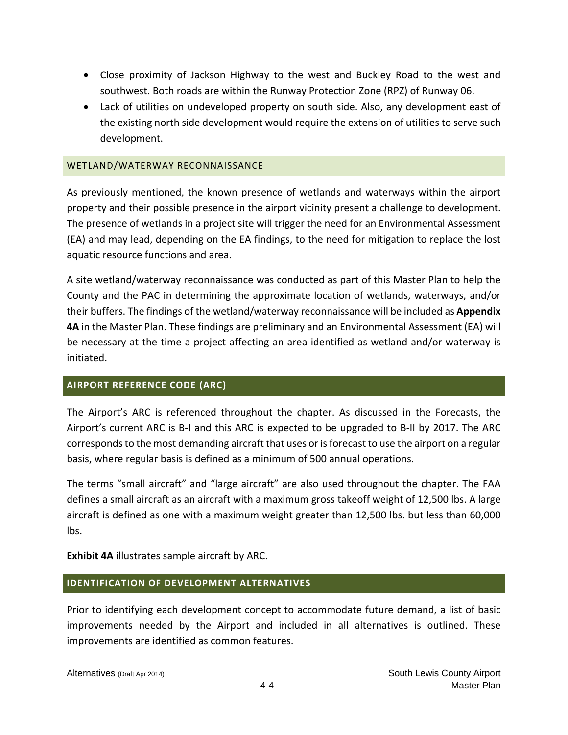- Close proximity of Jackson Highway to the west and Buckley Road to the west and southwest. Both roads are within the Runway Protection Zone (RPZ) of Runway 06.
- Lack of utilities on undeveloped property on south side. Also, any development east of the existing north side development would require the extension of utilities to serve such development.

### WETLAND/WATERWAY RECONNAISSANCE

As previously mentioned, the known presence of wetlands and waterways within the airport property and their possible presence in the airport vicinity present a challenge to development. The presence of wetlands in a project site will trigger the need for an Environmental Assessment (EA) and may lead, depending on the EA findings, to the need for mitigation to replace the lost aquatic resource functions and area.

A site wetland/waterway reconnaissance was conducted as part of this Master Plan to help the County and the PAC in determining the approximate location of wetlands, waterways, and/or their buffers. The findings of the wetland/waterway reconnaissance will be included as **Appendix 4A** in the Master Plan. These findings are preliminary and an Environmental Assessment (EA) will be necessary at the time a project affecting an area identified as wetland and/or waterway is initiated.

### **AIRPORT REFERENCE CODE (ARC)**

The Airport's ARC is referenced throughout the chapter. As discussed in the Forecasts, the Airport's current ARC is B‐I and this ARC is expected to be upgraded to B‐II by 2017. The ARC corresponds to the most demanding aircraft that uses or is forecast to use the airport on a regular basis, where regular basis is defined as a minimum of 500 annual operations.

The terms "small aircraft" and "large aircraft" are also used throughout the chapter. The FAA defines a small aircraft as an aircraft with a maximum gross takeoff weight of 12,500 lbs. A large aircraft is defined as one with a maximum weight greater than 12,500 lbs. but less than 60,000 lbs.

**Exhibit 4A** illustrates sample aircraft by ARC.

### **IDENTIFICATION OF DEVELOPMENT ALTERNATIVES**

Prior to identifying each development concept to accommodate future demand, a list of basic improvements needed by the Airport and included in all alternatives is outlined. These improvements are identified as common features.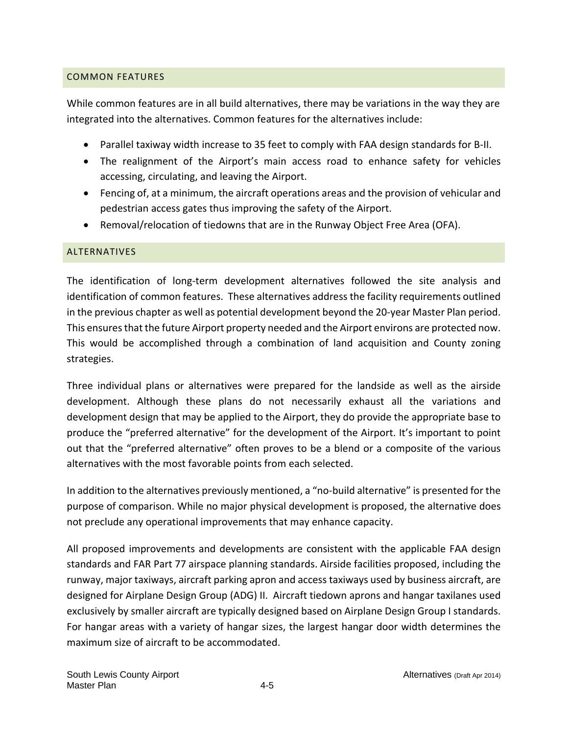### COMMON FEATURES

While common features are in all build alternatives, there may be variations in the way they are integrated into the alternatives. Common features for the alternatives include:

- Parallel taxiway width increase to 35 feet to comply with FAA design standards for B-II.
- The realignment of the Airport's main access road to enhance safety for vehicles accessing, circulating, and leaving the Airport.
- Fencing of, at a minimum, the aircraft operations areas and the provision of vehicular and pedestrian access gates thus improving the safety of the Airport.
- Removal/relocation of tiedowns that are in the Runway Object Free Area (OFA).

### ALTERNATIVES

The identification of long-term development alternatives followed the site analysis and identification of common features. These alternatives address the facility requirements outlined in the previous chapter as well as potential development beyond the 20‐year Master Plan period. This ensuresthat the future Airport property needed and the Airport environs are protected now. This would be accomplished through a combination of land acquisition and County zoning strategies.

Three individual plans or alternatives were prepared for the landside as well as the airside development. Although these plans do not necessarily exhaust all the variations and development design that may be applied to the Airport, they do provide the appropriate base to produce the "preferred alternative" for the development of the Airport. It's important to point out that the "preferred alternative" often proves to be a blend or a composite of the various alternatives with the most favorable points from each selected.

In addition to the alternatives previously mentioned, a "no-build alternative" is presented for the purpose of comparison. While no major physical development is proposed, the alternative does not preclude any operational improvements that may enhance capacity.

All proposed improvements and developments are consistent with the applicable FAA design standards and FAR Part 77 airspace planning standards. Airside facilities proposed, including the runway, major taxiways, aircraft parking apron and access taxiways used by business aircraft, are designed for Airplane Design Group (ADG) II. Aircraft tiedown aprons and hangar taxilanes used exclusively by smaller aircraft are typically designed based on Airplane Design Group I standards. For hangar areas with a variety of hangar sizes, the largest hangar door width determines the maximum size of aircraft to be accommodated.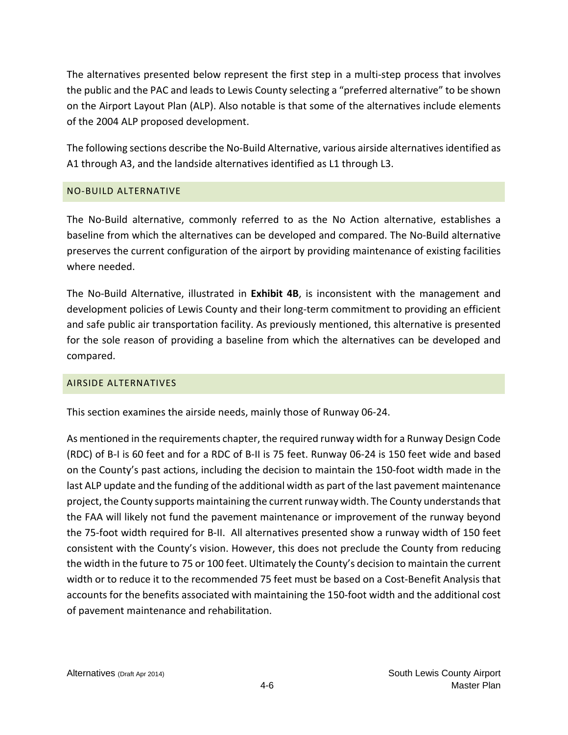The alternatives presented below represent the first step in a multi‐step process that involves the public and the PAC and leads to Lewis County selecting a "preferred alternative" to be shown on the Airport Layout Plan (ALP). Also notable is that some of the alternatives include elements of the 2004 ALP proposed development.

The following sections describe the No-Build Alternative, various airside alternatives identified as A1 through A3, and the landside alternatives identified as L1 through L3.

### NO‐BUILD ALTERNATIVE

The No‐Build alternative, commonly referred to as the No Action alternative, establishes a baseline from which the alternatives can be developed and compared. The No‐Build alternative preserves the current configuration of the airport by providing maintenance of existing facilities where needed.

The No‐Build Alternative, illustrated in **Exhibit 4B**, is inconsistent with the management and development policies of Lewis County and their long‐term commitment to providing an efficient and safe public air transportation facility. As previously mentioned, this alternative is presented for the sole reason of providing a baseline from which the alternatives can be developed and compared.

### AIRSIDE ALTERNATIVES

This section examines the airside needs, mainly those of Runway 06‐24.

As mentioned in the requirements chapter, the required runway width for a Runway Design Code (RDC) of B‐I is 60 feet and for a RDC of B‐II is 75 feet. Runway 06‐24 is 150 feet wide and based on the County's past actions, including the decision to maintain the 150‐foot width made in the last ALP update and the funding of the additional width as part of the last pavement maintenance project, the County supports maintaining the current runway width. The County understands that the FAA will likely not fund the pavement maintenance or improvement of the runway beyond the 75‐foot width required for B‐II. All alternatives presented show a runway width of 150 feet consistent with the County's vision. However, this does not preclude the County from reducing the width in the future to 75 or 100 feet. Ultimately the County's decision to maintain the current width or to reduce it to the recommended 75 feet must be based on a Cost-Benefit Analysis that accounts for the benefits associated with maintaining the 150‐foot width and the additional cost of pavement maintenance and rehabilitation.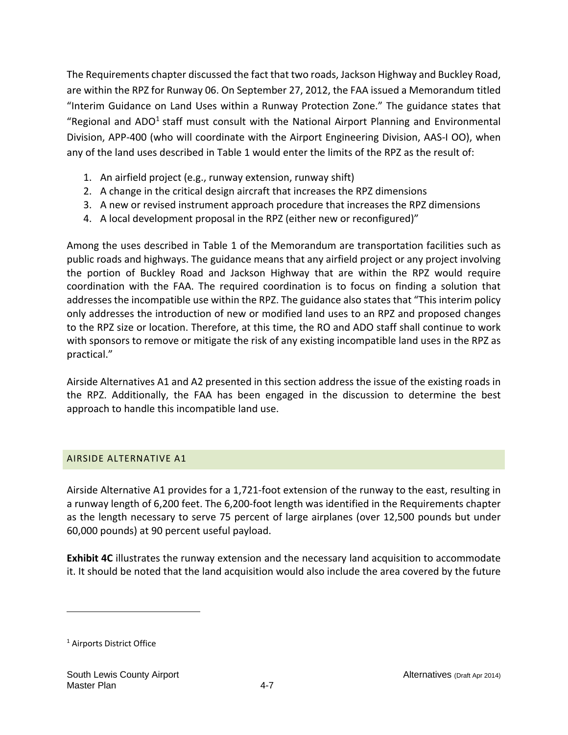The Requirements chapter discussed the fact that two roads, Jackson Highway and Buckley Road, are within the RPZ for Runway 06. On September 27, 2012, the FAA issued a Memorandum titled "Interim Guidance on Land Uses within a Runway Protection Zone." The guidance states that "Regional and ADO<sup>1</sup> staff must consult with the National Airport Planning and Environmental Division, APP-400 (who will coordinate with the Airport Engineering Division, AAS-I OO), when any of the land uses described in Table 1 would enter the limits of the RPZ as the result of:

- 1. An airfield project (e.g., runway extension, runway shift)
- 2. A change in the critical design aircraft that increases the RPZ dimensions
- 3. A new or revised instrument approach procedure that increases the RPZ dimensions
- 4. A local development proposal in the RPZ (either new or reconfigured)"

Among the uses described in Table 1 of the Memorandum are transportation facilities such as public roads and highways. The guidance means that any airfield project or any project involving the portion of Buckley Road and Jackson Highway that are within the RPZ would require coordination with the FAA. The required coordination is to focus on finding a solution that addresses the incompatible use within the RPZ. The guidance also states that "This interim policy only addresses the introduction of new or modified land uses to an RPZ and proposed changes to the RPZ size or location. Therefore, at this time, the RO and ADO staff shall continue to work with sponsors to remove or mitigate the risk of any existing incompatible land uses in the RPZ as practical."

Airside Alternatives A1 and A2 presented in this section address the issue of the existing roads in the RPZ. Additionally, the FAA has been engaged in the discussion to determine the best approach to handle this incompatible land use.

### AIRSIDE ALTERNATIVE A1

Airside Alternative A1 provides for a 1,721‐foot extension of the runway to the east, resulting in a runway length of 6,200 feet. The 6,200‐foot length was identified in the Requirements chapter as the length necessary to serve 75 percent of large airplanes (over 12,500 pounds but under 60,000 pounds) at 90 percent useful payload.

**Exhibit 4C** illustrates the runway extension and the necessary land acquisition to accommodate it. It should be noted that the land acquisition would also include the area covered by the future

<sup>1</sup> Airports District Office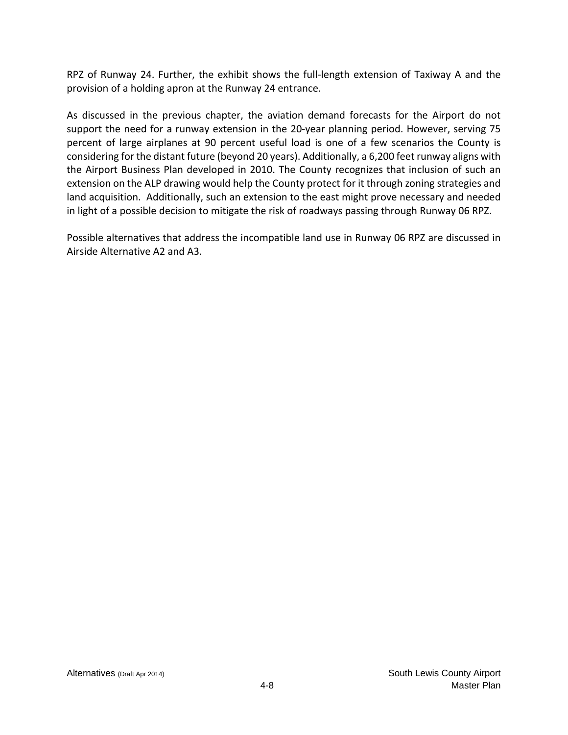RPZ of Runway 24. Further, the exhibit shows the full-length extension of Taxiway A and the provision of a holding apron at the Runway 24 entrance.

As discussed in the previous chapter, the aviation demand forecasts for the Airport do not support the need for a runway extension in the 20-year planning period. However, serving 75 percent of large airplanes at 90 percent useful load is one of a few scenarios the County is considering for the distant future (beyond 20 years). Additionally, a 6,200 feet runway aligns with the Airport Business Plan developed in 2010. The County recognizes that inclusion of such an extension on the ALP drawing would help the County protect for it through zoning strategies and land acquisition. Additionally, such an extension to the east might prove necessary and needed in light of a possible decision to mitigate the risk of roadways passing through Runway 06 RPZ.

Possible alternatives that address the incompatible land use in Runway 06 RPZ are discussed in Airside Alternative A2 and A3.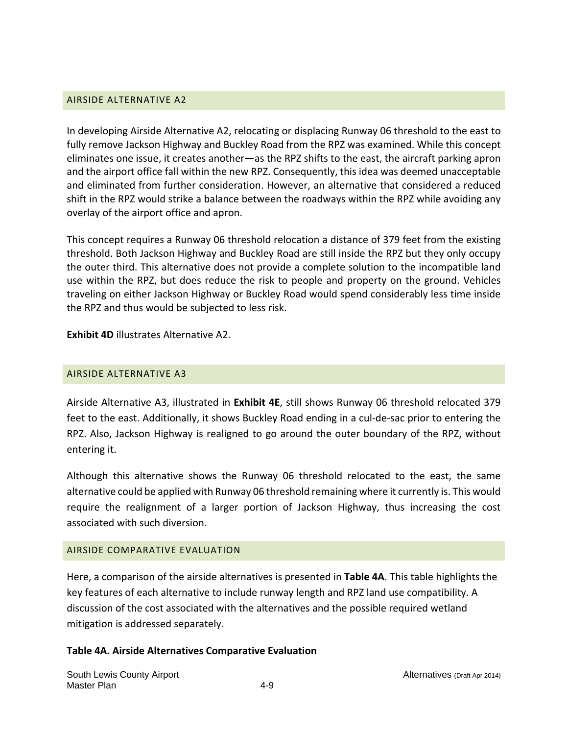### AIRSIDE ALTERNATIVE A2

In developing Airside Alternative A2, relocating or displacing Runway 06 threshold to the east to fully remove Jackson Highway and Buckley Road from the RPZ was examined. While this concept eliminates one issue, it creates another—as the RPZ shifts to the east, the aircraft parking apron and the airport office fall within the new RPZ. Consequently, this idea was deemed unacceptable and eliminated from further consideration. However, an alternative that considered a reduced shift in the RPZ would strike a balance between the roadways within the RPZ while avoiding any overlay of the airport office and apron.

This concept requires a Runway 06 threshold relocation a distance of 379 feet from the existing threshold. Both Jackson Highway and Buckley Road are still inside the RPZ but they only occupy the outer third. This alternative does not provide a complete solution to the incompatible land use within the RPZ, but does reduce the risk to people and property on the ground. Vehicles traveling on either Jackson Highway or Buckley Road would spend considerably less time inside the RPZ and thus would be subjected to less risk.

**Exhibit 4D** illustrates Alternative A2.

### AIRSIDE ALTERNATIVE A3

Airside Alternative A3, illustrated in **Exhibit 4E**, still shows Runway 06 threshold relocated 379 feet to the east. Additionally, it shows Buckley Road ending in a cul‐de‐sac prior to entering the RPZ. Also, Jackson Highway is realigned to go around the outer boundary of the RPZ, without entering it.

Although this alternative shows the Runway 06 threshold relocated to the east, the same alternative could be applied with Runway 06 threshold remaining where it currently is. This would require the realignment of a larger portion of Jackson Highway, thus increasing the cost associated with such diversion.

### AIRSIDE COMPARATIVE EVALUATION

Here, a comparison of the airside alternatives is presented in **Table 4A**. This table highlights the key features of each alternative to include runway length and RPZ land use compatibility. A discussion of the cost associated with the alternatives and the possible required wetland mitigation is addressed separately.

### **Table 4A. Airside Alternatives Comparative Evaluation**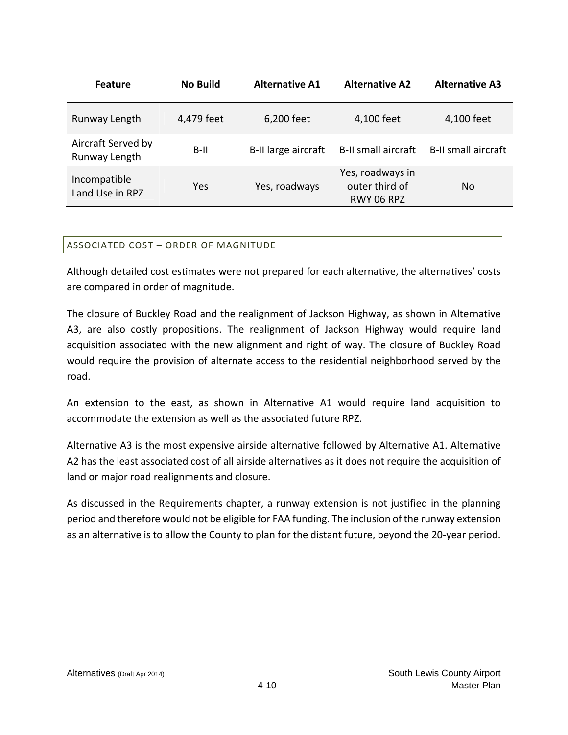| <b>Feature</b>                      | <b>No Build</b> | <b>Alternative A1</b> | <b>Alternative A2</b>                            | <b>Alternative A3</b>      |
|-------------------------------------|-----------------|-----------------------|--------------------------------------------------|----------------------------|
| Runway Length                       | 4,479 feet      | 6,200 feet            | 4,100 feet                                       | 4,100 feet                 |
| Aircraft Served by<br>Runway Length | $B-II$          | B-II large aircraft   | <b>B-II small aircraft</b>                       | <b>B-II small aircraft</b> |
| Incompatible<br>Land Use in RPZ     | Yes             | Yes, roadways         | Yes, roadways in<br>outer third of<br>RWY 06 RPZ | No.                        |

## ASSOCIATED COST – ORDER OF MAGNITUDE

Although detailed cost estimates were not prepared for each alternative, the alternatives' costs are compared in order of magnitude.

The closure of Buckley Road and the realignment of Jackson Highway, as shown in Alternative A3, are also costly propositions. The realignment of Jackson Highway would require land acquisition associated with the new alignment and right of way. The closure of Buckley Road would require the provision of alternate access to the residential neighborhood served by the road.

An extension to the east, as shown in Alternative A1 would require land acquisition to accommodate the extension as well as the associated future RPZ.

Alternative A3 is the most expensive airside alternative followed by Alternative A1. Alternative A2 has the least associated cost of all airside alternatives as it does not require the acquisition of land or major road realignments and closure.

As discussed in the Requirements chapter, a runway extension is not justified in the planning period and therefore would not be eligible for FAA funding. The inclusion of the runway extension as an alternative is to allow the County to plan for the distant future, beyond the 20‐year period.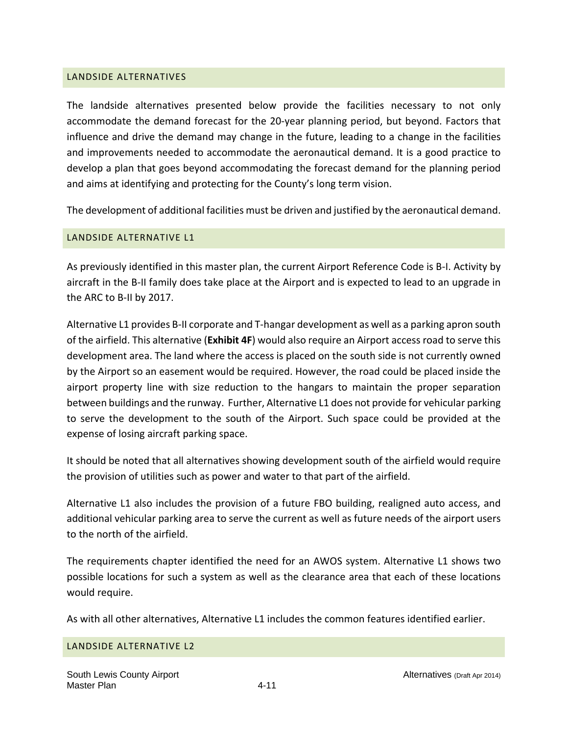#### LANDSIDE ALTERNATIVES

The landside alternatives presented below provide the facilities necessary to not only accommodate the demand forecast for the 20‐year planning period, but beyond. Factors that influence and drive the demand may change in the future, leading to a change in the facilities and improvements needed to accommodate the aeronautical demand. It is a good practice to develop a plan that goes beyond accommodating the forecast demand for the planning period and aims at identifying and protecting for the County's long term vision.

The development of additional facilities must be driven and justified by the aeronautical demand.

### LANDSIDE ALTERNATIVE L1

As previously identified in this master plan, the current Airport Reference Code is B‐I. Activity by aircraft in the B‐II family does take place at the Airport and is expected to lead to an upgrade in the ARC to B‐II by 2017.

Alternative L1 provides B‐II corporate and T‐hangar development as well as a parking apron south of the airfield. This alternative (**Exhibit 4F**) would also require an Airport access road to serve this development area. The land where the access is placed on the south side is not currently owned by the Airport so an easement would be required. However, the road could be placed inside the airport property line with size reduction to the hangars to maintain the proper separation between buildings and the runway. Further, Alternative L1 does not provide for vehicular parking to serve the development to the south of the Airport. Such space could be provided at the expense of losing aircraft parking space.

It should be noted that all alternatives showing development south of the airfield would require the provision of utilities such as power and water to that part of the airfield.

Alternative L1 also includes the provision of a future FBO building, realigned auto access, and additional vehicular parking area to serve the current as well as future needs of the airport users to the north of the airfield.

The requirements chapter identified the need for an AWOS system. Alternative L1 shows two possible locations for such a system as well as the clearance area that each of these locations would require.

As with all other alternatives, Alternative L1 includes the common features identified earlier.

### LANDSIDE ALTERNATIVE L2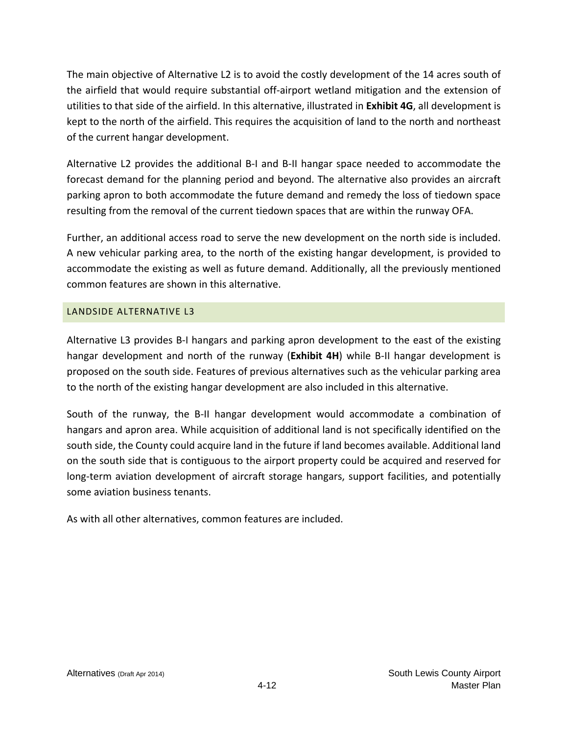The main objective of Alternative L2 is to avoid the costly development of the 14 acres south of the airfield that would require substantial off‐airport wetland mitigation and the extension of utilities to that side of the airfield. In this alternative, illustrated in **Exhibit 4G**, all development is kept to the north of the airfield. This requires the acquisition of land to the north and northeast of the current hangar development.

Alternative L2 provides the additional B‐I and B‐II hangar space needed to accommodate the forecast demand for the planning period and beyond. The alternative also provides an aircraft parking apron to both accommodate the future demand and remedy the loss of tiedown space resulting from the removal of the current tiedown spaces that are within the runway OFA.

Further, an additional access road to serve the new development on the north side is included. A new vehicular parking area, to the north of the existing hangar development, is provided to accommodate the existing as well as future demand. Additionally, all the previously mentioned common features are shown in this alternative.

## LANDSIDE ALTERNATIVE L3

Alternative L3 provides B‐I hangars and parking apron development to the east of the existing hangar development and north of the runway (**Exhibit 4H**) while B‐II hangar development is proposed on the south side. Features of previous alternatives such as the vehicular parking area to the north of the existing hangar development are also included in this alternative.

South of the runway, the B‐II hangar development would accommodate a combination of hangars and apron area. While acquisition of additional land is not specifically identified on the south side, the County could acquire land in the future if land becomes available. Additional land on the south side that is contiguous to the airport property could be acquired and reserved for long-term aviation development of aircraft storage hangars, support facilities, and potentially some aviation business tenants.

As with all other alternatives, common features are included.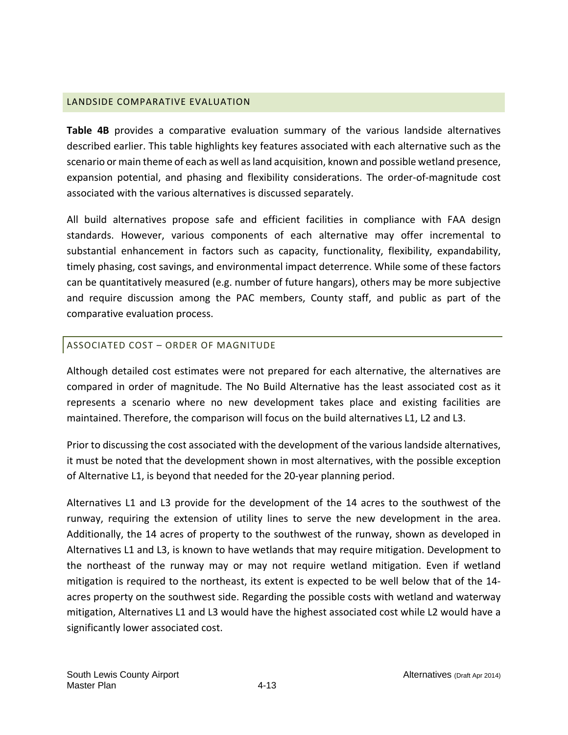### LANDSIDE COMPARATIVE EVALUATION

**Table 4B** provides a comparative evaluation summary of the various landside alternatives described earlier. This table highlights key features associated with each alternative such as the scenario or main theme of each as well asland acquisition, known and possible wetland presence, expansion potential, and phasing and flexibility considerations. The order‐of‐magnitude cost associated with the various alternatives is discussed separately.

All build alternatives propose safe and efficient facilities in compliance with FAA design standards. However, various components of each alternative may offer incremental to substantial enhancement in factors such as capacity, functionality, flexibility, expandability, timely phasing, cost savings, and environmental impact deterrence. While some of these factors can be quantitatively measured (e.g. number of future hangars), others may be more subjective and require discussion among the PAC members, County staff, and public as part of the comparative evaluation process.

## ASSOCIATED COST – ORDER OF MAGNITUDE

Although detailed cost estimates were not prepared for each alternative, the alternatives are compared in order of magnitude. The No Build Alternative has the least associated cost as it represents a scenario where no new development takes place and existing facilities are maintained. Therefore, the comparison will focus on the build alternatives L1, L2 and L3.

Prior to discussing the cost associated with the development of the various landside alternatives, it must be noted that the development shown in most alternatives, with the possible exception of Alternative L1, is beyond that needed for the 20‐year planning period.

Alternatives L1 and L3 provide for the development of the 14 acres to the southwest of the runway, requiring the extension of utility lines to serve the new development in the area. Additionally, the 14 acres of property to the southwest of the runway, shown as developed in Alternatives L1 and L3, is known to have wetlands that may require mitigation. Development to the northeast of the runway may or may not require wetland mitigation. Even if wetland mitigation is required to the northeast, its extent is expected to be well below that of the 14‐ acres property on the southwest side. Regarding the possible costs with wetland and waterway mitigation, Alternatives L1 and L3 would have the highest associated cost while L2 would have a significantly lower associated cost.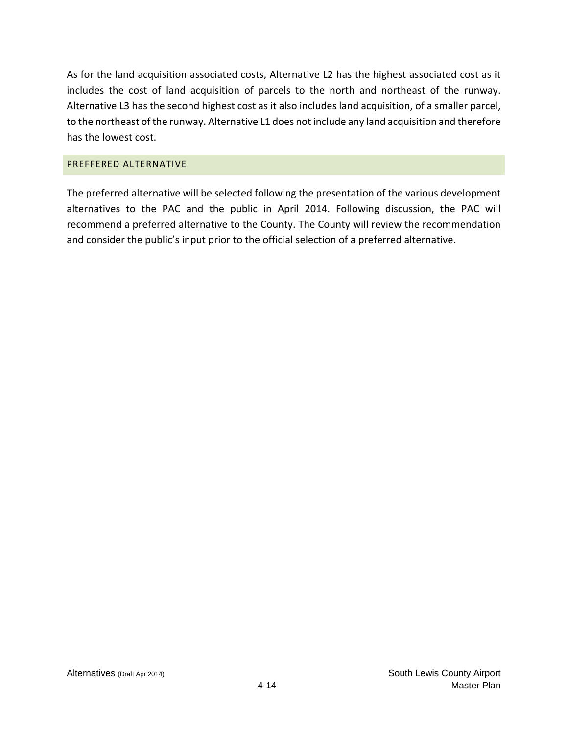As for the land acquisition associated costs, Alternative L2 has the highest associated cost as it includes the cost of land acquisition of parcels to the north and northeast of the runway. Alternative L3 has the second highest cost as it also includes land acquisition, of a smaller parcel, to the northeast of the runway. Alternative L1 does not include any land acquisition and therefore has the lowest cost.

#### PREFFERED ALTERNATIVE

The preferred alternative will be selected following the presentation of the various development alternatives to the PAC and the public in April 2014. Following discussion, the PAC will recommend a preferred alternative to the County. The County will review the recommendation and consider the public's input prior to the official selection of a preferred alternative.